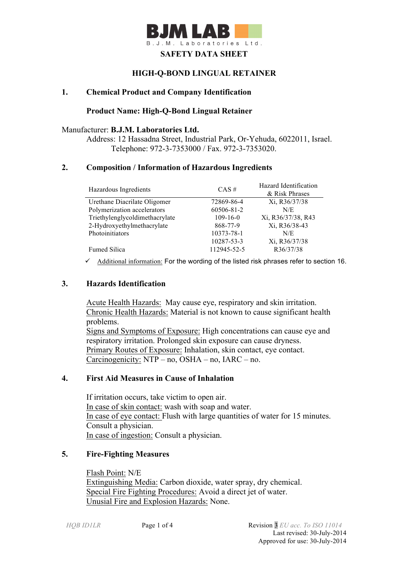

## **HIGH-Q-BOND LINGUAL RETAINER**

## **1. Chemical Product and Company Identification**

#### **Product Name: High-Q-Bond Lingual Retainer**

#### Manufacturer: **B.J.M. Laboratories Ltd.**

Address: 12 Hassadna Street, Industrial Park, Or-Yehuda, 6022011, Israel. Telephone: 972-3-7353000 / Fax. 972-3-7353020.

#### **2. Composition / Information of Hazardous Ingredients**

| Hazardous Ingredients          | $CAS \#$       | Hazard Identification<br>& Risk Phrases |
|--------------------------------|----------------|-----------------------------------------|
| Urethane Diacrilate Oligomer   | 72869-86-4     | Xi, R36/37/38                           |
| Polymerization accelerators    | 60506-81-2     | N/E                                     |
| Triethylenglycoldimethacrylate | $109 - 16 - 0$ | Xi, R36/37/38, R43                      |
| 2-Hydroxyethylmethacrylate     | 868-77-9       | Xi, R36/38-43                           |
| Photoinitiators                | 10373-78-1     | N/E                                     |
|                                | 10287-53-3     | Xi, R36/37/38                           |
| <b>Fumed Silica</b>            | 112945-52-5    | R36/37/38                               |

 $\checkmark$  Additional information: For the wording of the listed risk phrases refer to section 16.

## **3. Hazards Identification**

Acute Health Hazards: May cause eye, respiratory and skin irritation. Chronic Health Hazards: Material is not known to cause significant health problems. Signs and Symptoms of Exposure: High concentrations can cause eye and respiratory irritation. Prolonged skin exposure can cause dryness. Primary Routes of Exposure: Inhalation, skin contact, eye contact. Carcinogenicity: NTP – no, OSHA – no, IARC – no.

## **4. First Aid Measures in Cause of Inhalation**

 If irritation occurs, take victim to open air. In case of skin contact: wash with soap and water. In case of eye contact: Flush with large quantities of water for 15 minutes. Consult a physician. In case of ingestion: Consult a physician.

## **5. Fire-Fighting Measures**

Flash Point: N/E Extinguishing Media: Carbon dioxide, water spray, dry chemical. Special Fire Fighting Procedures: Avoid a direct jet of water. Unusial Fire and Explosion Hazards: None.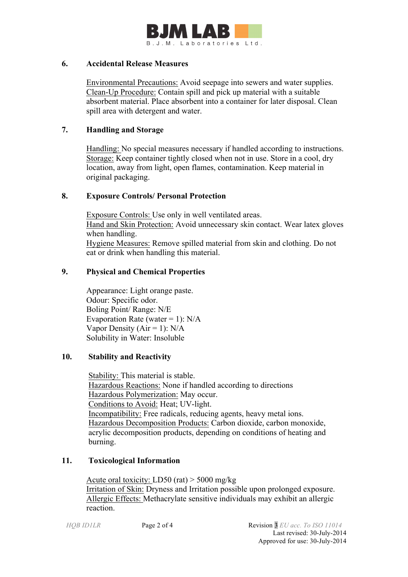

#### **6. Accidental Release Measures**

 Environmental Precautions: Avoid seepage into sewers and water supplies. Clean-Up Procedure: Contain spill and pick up material with a suitable absorbent material. Place absorbent into a container for later disposal. Clean spill area with detergent and water.

## **7. Handling and Storage**

 Handling: No special measures necessary if handled according to instructions. Storage: Keep container tightly closed when not in use. Store in a cool, dry location, away from light, open flames, contamination. Keep material in original packaging.

## **8. Exposure Controls/ Personal Protection**

 Exposure Controls: Use only in well ventilated areas. Hand and Skin Protection: Avoid unnecessary skin contact. Wear latex gloves when handling. Hygiene Measures: Remove spilled material from skin and clothing. Do not eat or drink when handling this material.

## **9. Physical and Chemical Properties**

Appearance: Light orange paste. Odour: Specific odor. Boling Point/ Range: N/E Evaporation Rate (water = 1):  $N/A$ Vapor Density ( $Air = 1$ ):  $N/A$ Solubility in Water: Insoluble

# **10. Stability and Reactivity**

 Stability: This material is stable. Hazardous Reactions: None if handled according to directions Hazardous Polymerization: May occur. Conditions to Avoid: Heat; UV-light. Incompatibility: Free radicals, reducing agents, heavy metal ions. Hazardous Decomposition Products: Carbon dioxide, carbon monoxide, acrylic decomposition products, depending on conditions of heating and burning.

#### **11. Toxicological Information**

Acute oral toxicity: LD50 (rat) > 5000 mg/kg Irritation of Skin: Dryness and Irritation possible upon prolonged exposure. Allergic Effects: Methacrylate sensitive individuals may exhibit an allergic reaction.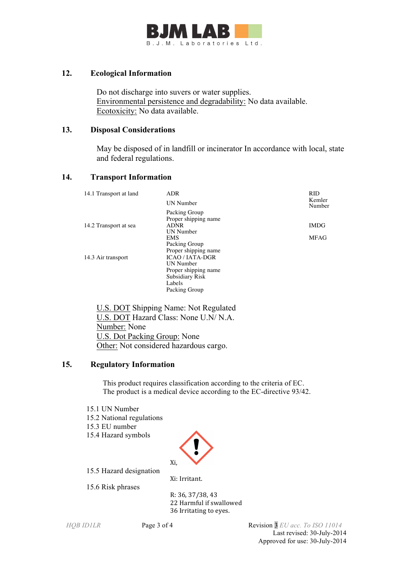

## **12. Ecological Information**

 Do not discharge into suvers or water supplies. Environmental persistence and degradability: No data available. Ecotoxicity: No data available.

#### **13. Disposal Considerations**

 May be disposed of in landfill or incinerator In accordance with local, state and federal regulations.

## **14. Transport Information**

| 14.1 Transport at land | ADR                    | <b>RID</b>       |
|------------------------|------------------------|------------------|
|                        | <b>UN</b> Number       | Kemler<br>Number |
|                        | Packing Group          |                  |
|                        | Proper shipping name   |                  |
| 14.2 Transport at sea  | <b>ADNR</b>            | <b>IMDG</b>      |
|                        | <b>UN</b> Number       |                  |
|                        | <b>EMS</b>             | <b>MFAG</b>      |
|                        | Packing Group          |                  |
|                        | Proper shipping name   |                  |
| 14.3 Air transport     | <b>ICAO / IATA-DGR</b> |                  |
|                        | <b>UN</b> Number       |                  |
|                        | Proper shipping name   |                  |
|                        | Subsidiary Risk        |                  |
|                        | Labels                 |                  |
|                        | Packing Group          |                  |

 U.S. DOT Shipping Name: Not Regulated U.S. DOT Hazard Class: None U.N/ N.A. Number: None U.S. Dot Packing Group: None Other: Not considered hazardous cargo.

# **15. Regulatory Information**

This product requires classification according to the criteria of EC. The product is a medical device according to the EC-directive 93/42.

- 15.1 UN Number
- 15.2 National regulations
- 15.3 EU number
- 15.4 Hazard symbols



15.5 Hazard designation

Xi: Irritant. 15.6 Risk phrases

R: 36, 37/38, 43 22 Harmful if swallowed 36 Irritating to eyes.